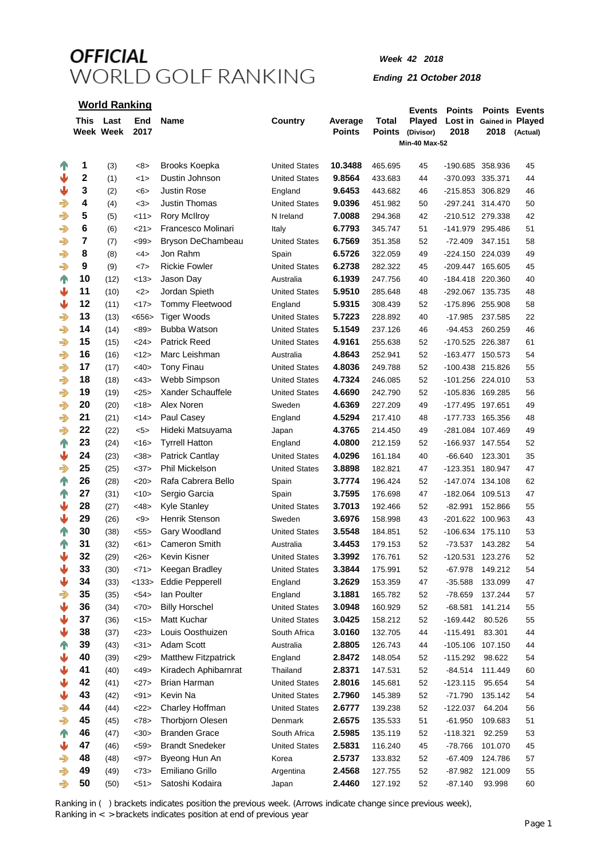*Week 42 2018*

*Ending 21 October 2018*

|                                |    | <b>World Ranking</b>          |                    |                                           |                                   |                          |                        | <b>Events</b>                               | <b>Points</b>                        | <b>Points Events</b>     |          |
|--------------------------------|----|-------------------------------|--------------------|-------------------------------------------|-----------------------------------|--------------------------|------------------------|---------------------------------------------|--------------------------------------|--------------------------|----------|
|                                |    | This Last<br><b>Week Week</b> | <b>End</b><br>2017 | Name                                      | Country                           | Average<br><b>Points</b> | Total<br><b>Points</b> | Played<br>(Divisor)<br><b>Min-40 Max-52</b> | Lost in<br>2018                      | Gained in Played<br>2018 | (Actual) |
|                                | 1  |                               |                    |                                           | <b>United States</b>              | 10.3488                  |                        |                                             |                                      |                          |          |
| $\mathbb{T}$<br>₩              | 2  | (3)                           | <8><br><1>         | Brooks Koepka<br>Dustin Johnson           | <b>United States</b>              | 9.8564                   | 465.695<br>433.683     | 45<br>44                                    | -190.685 358.936<br>-370.093 335.371 |                          | 45<br>44 |
| ⇓                              | 3  | (1)                           | <6>                | Justin Rose                               |                                   | 9.6453                   | 443.682                | 46                                          | -215.853 306.829                     |                          | 46       |
|                                | 4  | (2)                           | <3>                | Justin Thomas                             | England                           | 9.0396                   | 451.982                |                                             | -297.241 314.470                     |                          | 50       |
| $\Rightarrow$                  | 5  | (4)                           |                    | <b>Rory McIlroy</b>                       | <b>United States</b><br>N Ireland | 7.0088                   |                        | 50                                          |                                      |                          | 42       |
| $\Rightarrow$<br>$\Rightarrow$ | 6  | (5)                           | <11><br><21>       | Francesco Molinari                        |                                   | 6.7793                   | 294.368<br>345.747     | 42                                          | -210.512 279.338<br>-141.979 295.486 |                          | 51       |
|                                | 7  | (6)                           | $99$               | Bryson DeChambeau                         | Italy<br><b>United States</b>     | 6.7569                   | 351.358                | 51                                          | $-72.409$                            | 347.151                  | 58       |
| $\Rightarrow$<br>$\Rightarrow$ | 8  | (7)                           | 4>                 | Jon Rahm                                  |                                   | 6.5726                   |                        | 52<br>49                                    |                                      |                          | 49       |
| $\Rightarrow$                  | 9  | (8)                           | <7>                | <b>Rickie Fowler</b>                      | Spain<br><b>United States</b>     | 6.2738                   | 322.059                |                                             | -224.150 224.039                     |                          | 45       |
|                                | 10 | (9)                           |                    | Jason Day                                 |                                   | 6.1939                   | 282.322                | 45                                          | -209.447 165.605                     |                          | 40       |
| $\mathbb{T}$<br>₩              | 11 | (12)                          | <13><br><2>        |                                           | Australia                         | 5.9510                   | 247.756                | 40                                          | -184.418 220.360                     |                          |          |
|                                | 12 | (10)                          |                    | Jordan Spieth                             | <b>United States</b>              |                          | 285.648                | 48                                          | -292.067 135.735                     |                          | 48       |
| ⇓                              | 13 | (11)                          | <17>               | Tommy Fleetwood                           | England                           | 5.9315<br>5.7223         | 308.439                | 52                                          | -175.896 255.908                     |                          | 58       |
| $\Rightarrow$                  |    | (13)                          | <656               | <b>Tiger Woods</b><br><b>Bubba Watson</b> | <b>United States</b>              |                          | 228.892                | 40                                          | $-17.985$                            | 237.585                  | 22       |
| $\Rightarrow$                  | 14 | (14)                          | <89>               |                                           | <b>United States</b>              | 5.1549                   | 237.126                | 46                                          | $-94.453$                            | 260.259                  | 46       |
| $\Rightarrow$                  | 15 | (15)                          | <24>               | <b>Patrick Reed</b>                       | <b>United States</b>              | 4.9161                   | 255.638                | 52                                          | -170.525 226.387                     |                          | 61       |
| $\Rightarrow$                  | 16 | (16)                          | <12>               | Marc Leishman                             | Australia                         | 4.8643                   | 252.941                | 52                                          | -163.477 150.573                     |                          | 54       |
| $\Rightarrow$                  | 17 | (17)                          | <40>               | <b>Tony Finau</b>                         | <b>United States</b>              | 4.8036                   | 249.788                | 52                                          | -100.438 215.826                     |                          | 55       |
| $\Rightarrow$                  | 18 | (18)                          | <43>               | Webb Simpson                              | <b>United States</b>              | 4.7324                   | 246.085                | 52                                          | -101.256 224.010                     |                          | 53       |
| $\Rightarrow$                  | 19 | (19)                          | <25>               | Xander Schauffele                         | <b>United States</b>              | 4.6690                   | 242.790                | 52                                          | -105.836 169.285                     |                          | 56       |
| $\Rightarrow$                  | 20 | (20)                          | <18>               | Alex Noren                                | Sweden                            | 4.6369                   | 227.209                | 49                                          | -177.495 197.651                     |                          | 49       |
| $\Rightarrow$                  | 21 | (21)                          | <14>               | Paul Casey                                | England                           | 4.5294                   | 217.410                | 48                                          | -177.733 165.356                     |                          | 48       |
| $\Rightarrow$                  | 22 | (22)                          | 5>                 | Hideki Matsuyama                          | Japan                             | 4.3765                   | 214.450                | 49                                          | -281.084 107.469                     |                          | 49       |
| $\mathbf{T}$                   | 23 | (24)                          | <16>               | <b>Tyrrell Hatton</b>                     | England                           | 4.0800                   | 212.159                | 52                                          | -166.937 147.554                     |                          | 52       |
| ₩                              | 24 | (23)                          | <38>               | Patrick Cantlay                           | <b>United States</b>              | 4.0296                   | 161.184                | 40                                          | $-66.640$                            | 123.301                  | 35       |
| $\Rightarrow$                  | 25 | (25)                          | <37>               | Phil Mickelson                            | <b>United States</b>              | 3.8898                   | 182.821                | 47                                          | -123.351 180.947                     |                          | 47       |
| $\mathbf{T}$                   | 26 | (28)                          | <20>               | Rafa Cabrera Bello                        | Spain                             | 3.7774                   | 196.424                | 52                                          | -147.074 134.108                     |                          | 62       |
| $\mathbb{T}$                   | 27 | (31)                          | <10>               | Sergio Garcia                             | Spain                             | 3.7595                   | 176.698                | 47                                          | -182.064 109.513                     |                          | 47       |
| ₩                              | 28 | (27)                          | <48>               | <b>Kyle Stanley</b>                       | <b>United States</b>              | 3.7013                   | 192.466                | 52                                          | $-82.991$                            | 152.866                  | 55       |
| ⇓                              | 29 | (26)                          | $< \theta$         | Henrik Stenson                            | Sweden                            | 3.6976                   | 158.998                | 43                                          | -201.622 100.963                     |                          | 43       |
| $\mathbb{T}$                   | 30 | (38)                          | < 55               | Gary Woodland                             | <b>United States</b>              | 3.5548                   | 184.851                | 52                                          | -106.634 175.110                     |                          | 53       |
| $\mathbb{T}$                   | 31 | (32)                          | <61>               | <b>Cameron Smith</b>                      | Australia                         | 3.4453                   | 179.153                | 52                                          | $-73.537$                            | 143.282                  | 54       |
| ⇓                              | 32 | (29)                          | <26>               | Kevin Kisner                              | <b>United States</b>              | 3.3992                   | 176.761                | 52                                          | $-120.531$                           | 123.276                  | 52       |
| ⋓                              | 33 | (30)                          | <71>               | Keegan Bradley                            | <b>United States</b>              | 3.3844                   | 175.991                | 52                                          | $-67.978$                            | 149.212                  | 54       |
| ⇓                              | 34 | (33)                          | < 133              | <b>Eddie Pepperell</b>                    | England                           | 3.2629                   | 153.359                | 47                                          | $-35.588$                            | 133.099                  | 47       |
| €                              | 35 | (35)                          | $54>$              | lan Poulter                               | England                           | 3.1881                   | 165.782                | 52                                          | $-78.659$                            | 137.244                  | 57       |
| ⇓                              | 36 | (34)                          | <70>               | <b>Billy Horschel</b>                     | <b>United States</b>              | 3.0948                   | 160.929                | 52                                          | $-68.581$                            | 141.214                  | 55       |
| ⋓                              | 37 | (36)                          | <15>               | Matt Kuchar                               | <b>United States</b>              | 3.0425                   | 158.212                | 52                                          | $-169.442$                           | 80.526                   | 55       |
| ⇓                              | 38 | (37)                          | <23>               | Louis Oosthuizen                          | South Africa                      | 3.0160                   | 132.705                | 44                                          | $-115.491$                           | 83.301                   | 44       |
| $\mathbb{T}$                   | 39 | (43)                          | <31>               | Adam Scott                                | Australia                         | 2.8805                   | 126.743                | 44                                          | -105.106 107.150                     |                          | 44       |
| ⇓                              | 40 | (39)                          | <29>               | <b>Matthew Fitzpatrick</b>                | England                           | 2.8472                   | 148.054                | 52                                          | $-115.292$                           | 98.622                   | 54       |
| ⇓                              | 41 | (40)                          | <49>               | Kiradech Aphibarnrat                      | Thailand                          | 2.8371                   | 147.531                | 52                                          | $-84.514$                            | 111.449                  | 60       |
| ⋓                              | 42 | (41)                          | 27>                | Brian Harman                              | <b>United States</b>              | 2.8016                   | 145.681                | 52                                          | -123.115                             | 95.654                   | 54       |
| ⇓                              | 43 | (42)                          | < 91               | Kevin Na                                  | <b>United States</b>              | 2.7960                   | 145.389                | 52                                          | -71.790                              | 135.142                  | 54       |
| $\Rightarrow$                  | 44 | (44)                          | 22>                | Charley Hoffman                           | <b>United States</b>              | 2.6777                   | 139.238                | 52                                          | -122.037                             | 64.204                   | 56       |
| $\Rightarrow$                  | 45 | (45)                          | <78>               | Thorbjorn Olesen                          | Denmark                           | 2.6575                   | 135.533                | 51                                          | $-61.950$                            | 109.683                  | 51       |
| $\mathbf{T}$                   | 46 | (47)                          | <30>               | <b>Branden Grace</b>                      | South Africa                      | 2.5985                   | 135.119                | 52                                          | $-118.321$                           | 92.259                   | 53       |
| ₩                              | 47 | (46)                          | $59>$              | <b>Brandt Snedeker</b>                    | <b>United States</b>              | 2.5831                   | 116.240                | 45                                          | $-78.766$                            | 101.070                  | 45       |
| ⇛                              | 48 | (48)                          | $97$               | Byeong Hun An                             | Korea                             | 2.5737                   | 133.832                | 52                                          | $-67.409$                            | 124.786                  | 57       |
| ⇛                              | 49 | (49)                          | <73>               | Emiliano Grillo                           | Argentina                         | 2.4568                   | 127.755                | 52                                          | $-87.982$                            | 121.009                  | 55       |

Ranking in ( ) brackets indicates position the previous week. (Arrows indicate change since previous week),

(50) <51> Satoshi Kodaira Japan **2.4460** 127.192 52 -87.140 93.998 60

Ranking in < > brackets indicates position at end of previous year

 $\Rightarrow$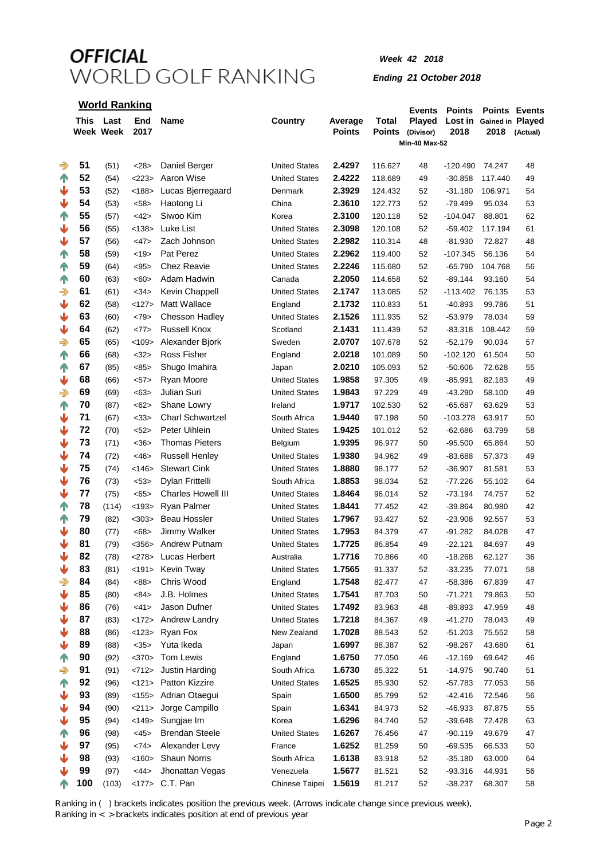### *Week 42 2018*

#### *Ending 21 October 2018*

| <b>World Ranking</b> |     |                        |             |                           |                      |                          |                               | <b>Events</b>                               | <b>Points</b>   |                          | <b>Points Events</b> |
|----------------------|-----|------------------------|-------------|---------------------------|----------------------|--------------------------|-------------------------------|---------------------------------------------|-----------------|--------------------------|----------------------|
|                      |     | This Last<br>Week Week | End<br>2017 | <b>Name</b>               | Country              | Average<br><b>Points</b> | <b>Total</b><br><b>Points</b> | Played<br>(Divisor)<br><b>Min-40 Max-52</b> | Lost in<br>2018 | Gained in Played<br>2018 | (Actual)             |
|                      |     |                        |             |                           |                      |                          |                               |                                             |                 |                          |                      |
| $\Rightarrow$        | 51  | (51)                   | <28>        | Daniel Berger             | <b>United States</b> | 2.4297                   | 116.627                       | 48                                          | $-120.490$      | 74.247                   | 48                   |
| $\mathbb{T}$         | 52  | (54)                   | <223>       | Aaron Wise                | <b>United States</b> | 2.4222                   | 118.689                       | 49                                          | $-30.858$       | 117.440                  | 49                   |
| ⇓                    | 53  | (52)                   | < 188       | Lucas Bjerregaard         | Denmark              | 2.3929                   | 124.432                       | 52                                          | -31.180         | 106.971                  | 54                   |
| ⇓                    | 54  | (53)                   | $58$        | Haotong Li                | China                | 2.3610                   | 122.773                       | 52                                          | $-79.499$       | 95.034                   | 53                   |
| $\mathbb{T}$         | 55  | (57)                   | <42>        | Siwoo Kim                 | Korea                | 2.3100                   | 120.118                       | 52                                          | $-104.047$      | 88.801                   | 62                   |
| ⇓                    | 56  | (55)                   | < 138       | Luke List                 | <b>United States</b> | 2.3098                   | 120.108                       | 52                                          | $-59.402$       | 117.194                  | 61                   |
| ⋓                    | 57  | (56)                   | <47>        | Zach Johnson              | <b>United States</b> | 2.2982                   | 110.314                       | 48                                          | $-81.930$       | 72.827                   | 48                   |
| $\mathbb{T}$         | 58  | (59)                   | <19>        | Pat Perez                 | <b>United States</b> | 2.2962                   | 119.400                       | 52                                          | $-107.345$      | 56.136                   | 54                   |
| $\mathbb{T}$         | 59  | (64)                   | < 95        | <b>Chez Reavie</b>        | <b>United States</b> | 2.2246                   | 115.680                       | 52                                          | $-65.790$       | 104.768                  | 56                   |
| $\mathbf{r}$         | 60  | (63)                   | <60>        | Adam Hadwin               | Canada               | 2.2050                   | 114.658                       | 52                                          | $-89.144$       | 93.160                   | 54                   |
| $\Rightarrow$        | 61  | (61)                   | <34>        | Kevin Chappell            | <b>United States</b> | 2.1747                   | 113.085                       | 52                                          | $-113.402$      | 76.135                   | 53                   |
| ♥                    | 62  | (58)                   | <127>       | Matt Wallace              | England              | 2.1732                   | 110.833                       | 51                                          | -40.893         | 99.786                   | 51                   |
| ⋓                    | 63  | (60)                   | <79>        | <b>Chesson Hadley</b>     | <b>United States</b> | 2.1526                   | 111.935                       | 52                                          | -53.979         | 78.034                   | 59                   |
| ⇓                    | 64  | (62)                   | <77>        | <b>Russell Knox</b>       | Scotland             | 2.1431                   | 111.439                       | 52                                          | $-83.318$       | 108.442                  | 59                   |
| $\Rightarrow$        | 65  | (65)                   | < 109       | Alexander Bjork           | Sweden               | 2.0707                   | 107.678                       | 52                                          | $-52.179$       | 90.034                   | 57                   |
| $\mathbb{T}$         | 66  | (68)                   | <32>        | Ross Fisher               | England              | 2.0218                   | 101.089                       | 50                                          | $-102.120$      | 61.504                   | 50                   |
| $\mathbb{T}$         | 67  | (85)                   | <85>        | Shugo Imahira             | Japan                | 2.0210                   | 105.093                       | 52                                          | $-50.606$       | 72.628                   | 55                   |
| ⇓                    | 68  | (66)                   | 57>         | Ryan Moore                | <b>United States</b> | 1.9858                   | 97.305                        | 49                                          | $-85.991$       | 82.183                   | 49                   |
| ⊰                    | 69  | (69)                   | <63>        | Julian Suri               | <b>United States</b> | 1.9843                   | 97.229                        | 49                                          | $-43.290$       | 58.100                   | 49                   |
| 个                    | 70  | (87)                   | <62>        | Shane Lowry               | Ireland              | 1.9717                   | 102.530                       | 52                                          | $-65.687$       | 63.629                   | 53                   |
| ⋓                    | 71  | (67)                   | <33>        | <b>Charl Schwartzel</b>   | South Africa         | 1.9440                   | 97.198                        | 50                                          | $-103.278$      | 63.917                   | 50                   |
| ⋓                    | 72  | (70)                   | <52>        | Peter Uihlein             | <b>United States</b> | 1.9425                   | 101.012                       | 52                                          | $-62.686$       | 63.799                   | 58                   |
| ⋓                    | 73  | (71)                   | <36>        | <b>Thomas Pieters</b>     | Belgium              | 1.9395                   | 96.977                        | 50                                          | $-95.500$       | 65.864                   | 50                   |
| ⋓                    | 74  | (72)                   | <46>        | <b>Russell Henley</b>     | <b>United States</b> | 1.9380                   | 94.962                        | 49                                          | $-83.688$       | 57.373                   | 49                   |
| ⇓                    | 75  | (74)                   | < 146       | <b>Stewart Cink</b>       | <b>United States</b> | 1.8880                   | 98.177                        | 52                                          | $-36.907$       | 81.581                   | 53                   |
| ⇓                    | 76  | (73)                   | < 53>       | Dylan Frittelli           | South Africa         | 1.8853                   | 98.034                        | 52                                          | $-77.226$       | 55.102                   | 64                   |
| ⋓                    | 77  | (75)                   | <65>        | <b>Charles Howell III</b> | <b>United States</b> | 1.8464                   | 96.014                        | 52                                          | $-73.194$       | 74.757                   | 52                   |
| $\mathbb{T}$         | 78  | (114)                  | < 193       | Ryan Palmer               | <b>United States</b> | 1.8441                   | 77.452                        | 42                                          | $-39.864$       | 80.980                   | 42                   |
| $\mathbb{T}$         | 79  | (82)                   | $303$       | Beau Hossler              | <b>United States</b> | 1.7967                   | 93.427                        | 52                                          | $-23.908$       | 92.557                   | 53                   |
| ⋓                    | 80  | (77)                   | <68         | Jimmy Walker              | <b>United States</b> | 1.7953                   | 84.379                        | 47                                          | $-91.282$       | 84.028                   | 47                   |
| ₩                    | 81  | (79)                   | $356$       | Andrew Putnam             | <b>United States</b> | 1.7725                   | 86.854                        | 49                                          | $-22.121$       | 84.697                   | 49                   |
|                      | 82  | (78)                   | <278>       | Lucas Herbert             | Australia            | 1.7716                   | 70.866                        | 40                                          | -18.268         | 62.127                   | 36                   |
| ⇓                    | 83  | (81)                   | <191>       | Kevin Tway                | <b>United States</b> | 1.7565                   | 91.337                        | 52                                          | $-33.235$       | 77.071                   | 58                   |
| ⊰                    | 84  | (84)                   | <88>        | Chris Wood                | England              | 1.7548                   | 82.477                        | 47                                          | $-58.386$       | 67.839                   | 47                   |
| ⋓                    | 85  | (80)                   | <84>        | J.B. Holmes               | <b>United States</b> | 1.7541                   | 87.703                        | 50                                          | $-71.221$       | 79.863                   | 50                   |
| ⋓                    | 86  | (76)                   | <41>        | Jason Dufner              | <b>United States</b> | 1.7492                   | 83.963                        | 48                                          | $-89.893$       | 47.959                   | 48                   |
| ⋓                    | 87  | (83)                   | <172>       | Andrew Landry             | <b>United States</b> | 1.7218                   | 84.367                        | 49                                          | $-41.270$       | 78.043                   | 49                   |
| ⋓                    | 88  | (86)                   | <123>       | Ryan Fox                  | New Zealand          | 1.7028                   | 88.543                        | 52                                          | $-51.203$       | 75.552                   | 58                   |
| ⋓                    | 89  | (88)                   | <35>        | Yuta Ikeda                | Japan                | 1.6997                   | 88.387                        | 52                                          | $-98.267$       | 43.680                   | 61                   |
| 个                    | 90  | (92)                   | <370>       | <b>Tom Lewis</b>          | England              | 1.6750                   | 77.050                        | 46                                          | $-12.169$       | 69.642                   | 46                   |
| $\Rightarrow$        | 91  | (91)                   | <712>       | Justin Harding            | South Africa         | 1.6730                   | 85.322                        | 51                                          | -14.975         | 90.740                   | 51                   |
| 个                    | 92  | (96)                   |             | <121> Patton Kizzire      | <b>United States</b> | 1.6525                   | 85.930                        | 52                                          | -57.783         | 77.053                   | 56                   |
| ⇓                    | 93  | (89)                   | <155>       | Adrian Otaegui            | Spain                | 1.6500                   | 85.799                        | 52                                          | -42.416         | 72.546                   | 56                   |
| ⋓                    | 94  | (90)                   | <211>       | Jorge Campillo            | Spain                | 1.6341                   | 84.973                        | 52                                          | $-46.933$       | 87.875                   | 55                   |
| ₩                    | 95  | (94)                   | <149>       | Sungjae Im                | Korea                | 1.6296                   | 84.740                        | 52                                          | $-39.648$       | 72.428                   | 63                   |
| $\mathbb{T}$         | 96  | (98)                   | <45>        | <b>Brendan Steele</b>     | <b>United States</b> | 1.6267                   | 76.456                        | 47                                          | $-90.119$       | 49.679                   | 47                   |
| ⇓                    | 97  | (95)                   | <74>        | Alexander Levy            | France               | 1.6252                   | 81.259                        | 50                                          | $-69.535$       | 66.533                   | 50                   |
| ⇓                    | 98  | (93)                   | < 160       | Shaun Norris              | South Africa         | 1.6138                   | 83.918                        | 52                                          | $-35.180$       | 63.000                   | 64                   |
| ₩                    | 99  | (97)                   | <44>        | Jhonattan Vegas           | Venezuela            | 1.5677                   | 81.521                        | 52                                          | $-93.316$       | 44.931                   | 56                   |
| 1N                   | 100 | (103)                  | <177>       | C.T. Pan                  | Chinese Taipei       | 1.5619                   | 81.217                        | 52                                          | $-38.237$       | 68.307                   | 58                   |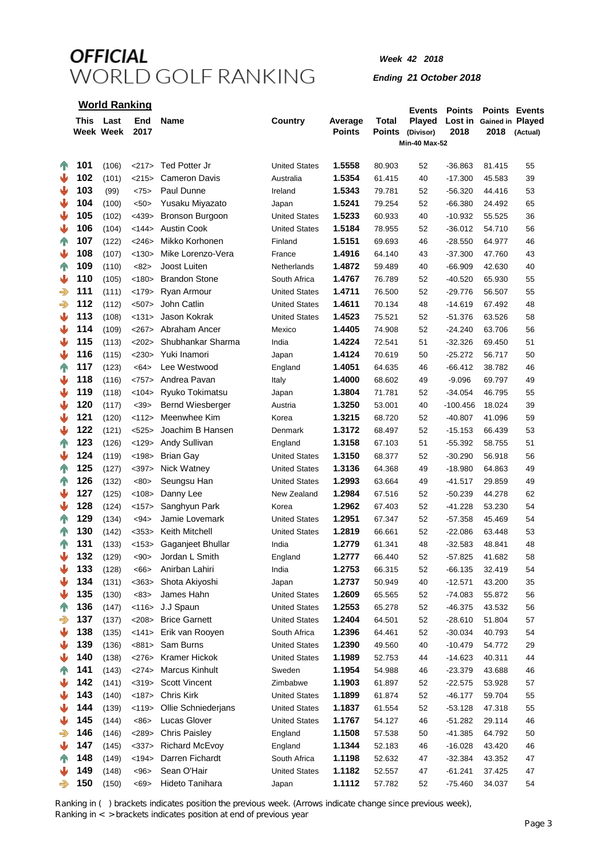### *Week 42 2018*

#### *Ending 21 October 2018*

### **World Ranking**

|                |      | ,,,,,,,,,,,,,,,,,,,,, |          |                       |                      |               |               | <b>Events</b>        | <b>Points</b> |                          | <b>Points Events</b> |
|----------------|------|-----------------------|----------|-----------------------|----------------------|---------------|---------------|----------------------|---------------|--------------------------|----------------------|
|                | This | Last                  | End      | Name                  | Country              | Average       | Total         | Played               |               | Lost in Gained in Played |                      |
|                |      | Week Week             | 2017     |                       |                      | <b>Points</b> | <b>Points</b> | (Divisor)            | 2018          | 2018                     | (Actual)             |
|                |      |                       |          |                       |                      |               |               | <b>Min-40 Max-52</b> |               |                          |                      |
| 4 <sup>o</sup> | 101  | (106)                 | <217>    | Ted Potter Jr         | <b>United States</b> | 1.5558        | 80.903        | 52                   | $-36.863$     | 81.415                   | 55                   |
| ⋓              | 102  | (101)                 | <215>    | <b>Cameron Davis</b>  | Australia            | 1.5354        | 61.415        | 40                   | $-17.300$     | 45.583                   | 39                   |
| ⋓              | 103  | (99)                  | <75>     | Paul Dunne            | Ireland              | 1.5343        | 79.781        | 52                   | $-56.320$     | 44.416                   | 53                   |
| ⇓              | 104  |                       | < 50     | Yusaku Miyazato       |                      | 1.5241        | 79.254        | 52                   | $-66.380$     | 24.492                   |                      |
| ⇓              | 105  | (100)                 |          |                       | Japan                | 1.5233        |               |                      | $-10.932$     |                          | 65                   |
|                | 106  | (102)                 | $<$ 439> | Bronson Burgoon       | <b>United States</b> |               | 60.933        | 40                   |               | 55.525                   | 36                   |
| ⇓              |      | (104)                 | <144>    | Austin Cook           | <b>United States</b> | 1.5184        | 78.955        | 52                   | $-36.012$     | 54.710                   | 56                   |
| $\mathbb{T}$   | 107  | (122)                 | $<$ 246> | Mikko Korhonen        | Finland              | 1.5151        | 69.693        | 46                   | $-28.550$     | 64.977                   | 46                   |
| ⇓              | 108  | (107)                 | < 130    | Mike Lorenzo-Vera     | France               | 1.4916        | 64.140        | 43                   | $-37.300$     | 47.760                   | 43                   |
| $\sqrt{ }$     | 109  | (110)                 | <82>     | Joost Luiten          | Netherlands          | 1.4872        | 59.489        | 40                   | $-66.909$     | 42.630                   | 40                   |
| ⇓              | 110  | (105)                 | < 180    | <b>Brandon Stone</b>  | South Africa         | 1.4767        | 76.789        | 52                   | $-40.520$     | 65.930                   | 55                   |
| $\Rightarrow$  | 111  | (111)                 | <179>    | Ryan Armour           | <b>United States</b> | 1.4711        | 76.500        | 52                   | $-29.776$     | 56.507                   | 55                   |
| $\Rightarrow$  | 112  | (112)                 | $507$    | John Catlin           | <b>United States</b> | 1.4611        | 70.134        | 48                   | $-14.619$     | 67.492                   | 48                   |
| ⇓              | 113  | (108)                 | <131>    | Jason Kokrak          | <b>United States</b> | 1.4523        | 75.521        | 52                   | $-51.376$     | 63.526                   | 58                   |
| ⇓              | 114  | (109)                 | <267     | Abraham Ancer         | Mexico               | 1.4405        | 74.908        | 52                   | $-24.240$     | 63.706                   | 56                   |
| ♥              | 115  | (113)                 | <202>    | Shubhankar Sharma     | India                | 1.4224        | 72.541        | 51                   | $-32.326$     | 69.450                   | 51                   |
| ♥              | 116  | (115)                 | <230>    | Yuki Inamori          | Japan                | 1.4124        | 70.619        | 50                   | $-25.272$     | 56.717                   | 50                   |
| $\sqrt{1}$     | 117  | (123)                 | <64>     | Lee Westwood          | England              | 1.4051        | 64.635        | 46                   | $-66.412$     | 38.782                   | 46                   |
| ♥              | 118  | (116)                 | <757>    | Andrea Pavan          | Italy                | 1.4000        | 68.602        | 49                   | $-9.096$      | 69.797                   | 49                   |
| ♥              | 119  | (118)                 | < 104    | Ryuko Tokimatsu       | Japan                | 1.3804        | 71.781        | 52                   | $-34.054$     | 46.795                   | 55                   |
| ⇓              | 120  | (117)                 | <39>     | Bernd Wiesberger      | Austria              | 1.3250        | 53.001        | 40                   | $-100.456$    | 18.024                   | 39                   |
| ⇓              | 121  | (120)                 | <112>    | Meenwhee Kim          | Korea                | 1.3215        | 68.720        | 52                   | $-40.807$     | 41.096                   | 59                   |
| ⇓              | 122  | (121)                 | <525>    | Joachim B Hansen      | Denmark              | 1.3172        | 68.497        | 52                   | $-15.153$     | 66.439                   | 53                   |
| $\mathbb{R}$   | 123  | (126)                 | <129     | Andy Sullivan         | England              | 1.3158        | 67.103        | 51                   | $-55.392$     | 58.755                   | 51                   |
| ⇓              | 124  | (119)                 | < 198    | <b>Brian Gay</b>      | <b>United States</b> | 1.3150        | 68.377        | 52                   | $-30.290$     | 56.918                   | 56                   |
| $\sqrt{ }$     | 125  | (127)                 | $397$    | Nick Watney           | <b>United States</b> | 1.3136        | 64.368        | 49                   | $-18.980$     | 64.863                   | 49                   |
| 4 <sup>o</sup> | 126  | (132)                 | <80>     | Seungsu Han           | <b>United States</b> | 1.2993        | 63.664        | 49                   | $-41.517$     | 29.859                   | 49                   |
| ⋓              | 127  | (125)                 | < 108    | Danny Lee             | New Zealand          | 1.2984        | 67.516        | 52                   | $-50.239$     | 44.278                   | 62                   |
| ⋓              | 128  | (124)                 | <157>    | Sanghyun Park         | Korea                | 1.2962        | 67.403        | 52                   | -41.228       | 53.230                   | 54                   |
| $\mathbf{T}$   | 129  | (134)                 | $94$     | Jamie Lovemark        | <b>United States</b> | 1.2951        | 67.347        | 52                   | $-57.358$     | 45.469                   | 54                   |
| $\sqrt{1}$     | 130  | (142)                 | $<$ 353> | Keith Mitchell        | <b>United States</b> | 1.2819        | 66.661        | 52                   | $-22.086$     | 63.448                   | 53                   |
| $\sqrt{1}$     | 131  | (133)                 | $<$ 153> | Gaganjeet Bhullar     | India                | 1.2779        | 61.341        | 48                   | $-32.583$     | 48.841                   | 48                   |
| ₩              | 132  | (129)                 | $90$     | Jordan L Smith        | England              | 1.2777        | 66.440        | 52                   | $-57.825$     | 41.682                   | 58                   |
| ⋓              | 133  | (128)                 | <66      | Anirban Lahiri        | India                | 1.2753        | 66.315        | 52                   | $-66.135$     | 32.419                   | 54                   |
| ⋓              | 134  | (131)                 | $363$    | Shota Akiyoshi        | Japan                | 1.2737        | 50.949        | 40                   | $-12.571$     | 43.200                   | 35                   |
| ♥              | 135  | (130)                 | <83>     | James Hahn            | <b>United States</b> | 1.2609        | 65.565        | 52                   | $-74.083$     | 55.872                   | 56                   |
| $\mathbb{T}$   | 136  | (147)                 | < 116    | J.J Spaun             | <b>United States</b> | 1.2553        | 65.278        | 52                   | $-46.375$     | 43.532                   | 56                   |
| ⇛              | 137  | (137)                 | <208     | <b>Brice Garnett</b>  | <b>United States</b> | 1.2404        | 64.501        | 52                   | $-28.610$     | 51.804                   | 57                   |
| ⋓              | 138  | (135)                 | <141>    | Erik van Rooyen       | South Africa         | 1.2396        | 64.461        | 52                   | $-30.034$     | 40.793                   | 54                   |
| ⇓              | 139  | (136)                 | <881>    | Sam Burns             | <b>United States</b> | 1.2390        | 49.560        | 40                   | $-10.479$     | 54.772                   | 29                   |
| ⇓              | 140  | (138)                 | <276     | Kramer Hickok         | <b>United States</b> | 1.1989        | 52.753        | 44                   | $-14.623$     | 40.311                   | 44                   |
| $\sqrt{ }$     | 141  | (143)                 | <274>    | <b>Marcus Kinhult</b> | Sweden               | 1.1954        | 54.988        | 46                   | $-23.379$     | 43.688                   | 46                   |
| ⋓              | 142  | (141)                 | $<$ 319> | <b>Scott Vincent</b>  | Zimbabwe             | 1.1903        | 61.897        | 52                   | $-22.575$     | 53.928                   | 57                   |
| ₩              | 143  | (140)                 | <187>    | Chris Kirk            | <b>United States</b> | 1.1899        | 61.874        | 52                   | $-46.177$     | 59.704                   | 55                   |
| ₩              | 144  | (139)                 | < 119    | Ollie Schniederjans   | <b>United States</b> | 1.1837        | 61.554        | 52                   | $-53.128$     | 47.318                   | 55                   |
| ⇓              | 145  | (144)                 | <86      | Lucas Glover          | <b>United States</b> | 1.1767        | 54.127        | 46                   | $-51.282$     | 29.114                   | 46                   |
|                | 146  |                       |          |                       |                      |               |               |                      |               |                          |                      |
| $\Rightarrow$  | 147  | (146)                 | $<$ 289> | <b>Chris Paisley</b>  | England              | 1.1508        | 57.538        | 50                   | $-41.385$     | 64.792                   | 50                   |
| ₩              |      | (145)                 | <337>    | <b>Richard McEvoy</b> | England              | 1.1344        | 52.183        | 46                   | $-16.028$     | 43.420                   | 46                   |
| $\sqrt{1}$     | 148  | (149)                 | < 194    | Darren Fichardt       | South Africa         | 1.1198        | 52.632        | 47                   | $-32.384$     | 43.352                   | 47                   |
| ₩              | 149  | (148)                 | < 96     | Sean O'Hair           | <b>United States</b> | 1.1182        | 52.557        | 47                   | $-61.241$     | 37.425                   | 47                   |
| ⇛              | 150  | (150)                 | $69$     | Hideto Tanihara       | Japan                | 1.1112        | 57.782        | 52                   | $-75.460$     | 34.037                   | 54                   |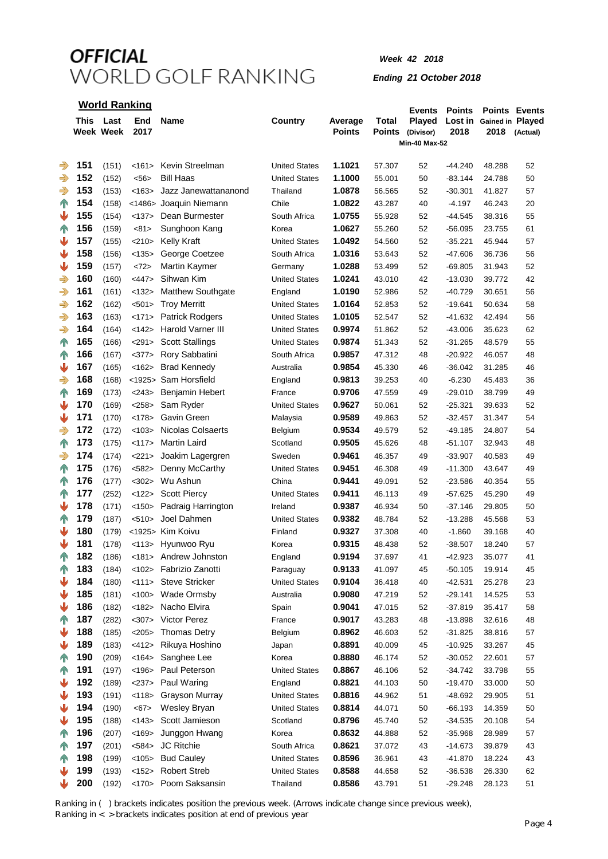*Week 42 2018*

*Ending 21 October 2018*

| <b>World Ranking</b> |            |                   |                   |                                |                       |                          |                        | <b>Events</b>                               | <b>Points</b>          |                          | <b>Points Events</b> |
|----------------------|------------|-------------------|-------------------|--------------------------------|-----------------------|--------------------------|------------------------|---------------------------------------------|------------------------|--------------------------|----------------------|
|                      | This       | Last<br>Week Week | End<br>2017       | Name                           | Country               | Average<br><b>Points</b> | Total<br><b>Points</b> | Played<br>(Divisor)<br><b>Min-40 Max-52</b> | Lost in<br>2018        | Gained in Played<br>2018 | (Actual)             |
|                      |            |                   |                   |                                |                       |                          |                        |                                             |                        |                          |                      |
| $\Rightarrow$        | 151        | (151)             | <161>             | Kevin Streelman                | <b>United States</b>  | 1.1021                   | 57.307                 | 52                                          | -44.240                | 48.288                   | 52                   |
| $\Rightarrow$        | 152        | (152)             | $56$              | <b>Bill Haas</b>               | <b>United States</b>  | 1.1000                   | 55.001                 | 50                                          | $-83.144$              | 24.788                   | 50                   |
| $\Rightarrow$        | 153        | (153)             | < 163             | Jazz Janewattananond           | Thailand              | 1.0878                   | 56.565                 | 52                                          | -30.301                | 41.827                   | 57                   |
| <b>TIN</b>           | 154        | (158)             | $<$ 1486>         | Joaquin Niemann                | Chile                 | 1.0822                   | 43.287                 | 40                                          | $-4.197$               | 46.243                   | 20                   |
| ⇓                    | 155        | (154)             | <137>             | Dean Burmester                 | South Africa          | 1.0755                   | 55.928                 | 52                                          | -44.545                | 38.316                   | 55                   |
| $\mathbb{P}$         | 156        | (159)             | <81>              | Sunghoon Kang                  | Korea                 | 1.0627                   | 55.260                 | 52                                          | -56.095                | 23.755                   | 61                   |
| ♥                    | 157        | (155)             | <210>             | Kelly Kraft                    | <b>United States</b>  | 1.0492                   | 54.560                 | 52                                          | $-35.221$              | 45.944                   | 57                   |
| ₩                    | 158        | (156)             | <135>             | George Coetzee                 | South Africa          | 1.0316                   | 53.643                 | 52                                          | -47.606                | 36.736                   | 56                   |
| ⇓                    | 159        | (157)             | <72>              | <b>Martin Kaymer</b>           | Germany               | 1.0288                   | 53.499                 | 52                                          | -69.805                | 31.943                   | 52                   |
| $\Rightarrow$        | 160        | (160)             | $<$ 447>          | Sihwan Kim                     | <b>United States</b>  | 1.0241                   | 43.010                 | 42                                          | -13.030                | 39.772                   | 42                   |
| $\Rightarrow$        | 161        | (161)             | <132>             | <b>Matthew Southgate</b>       | England               | 1.0190                   | 52.986                 | 52                                          | $-40.729$              | 30.651                   | 56                   |
| $\Rightarrow$        | 162        | (162)             | $501$             | <b>Troy Merritt</b>            | <b>United States</b>  | 1.0164                   | 52.853                 | 52                                          | $-19.641$              | 50.634                   | 58                   |
| $\Rightarrow$        | 163        | (163)             | <171>             | <b>Patrick Rodgers</b>         | <b>United States</b>  | 1.0105                   | 52.547                 | 52                                          | $-41.632$              | 42.494                   | 56                   |
| $\Rightarrow$        | 164        | (164)             | <142>             | Harold Varner III              | <b>United States</b>  | 0.9974                   | 51.862                 | 52                                          | $-43.006$              | 35.623                   | 62                   |
| $\mathbb{T}$         | 165        | (166)             | <291>             | <b>Scott Stallings</b>         | <b>United States</b>  | 0.9874                   | 51.343                 | 52                                          | $-31.265$              | 48.579                   | 55                   |
| $\mathbb{T}$         | 166        | (167)             | <377>             | Rory Sabbatini                 | South Africa          | 0.9857                   | 47.312                 | 48                                          | $-20.922$              | 46.057                   | 48                   |
| ⇓                    | 167        | (165)             | <162>             | <b>Brad Kennedy</b>            | Australia             | 0.9854                   | 45.330                 | 46                                          | $-36.042$              | 31.285                   | 46                   |
| ⊰                    | 168        | (168)             | $<$ 1925>         | Sam Horsfield                  | England               | 0.9813                   | 39.253                 | 40                                          | $-6.230$               | 45.483                   | 36                   |
| $\mathbb{T}$         | 169        | (173)             | $<$ 243>          | <b>Benjamin Hebert</b>         | France                | 0.9706                   | 47.559                 | 49                                          | $-29.010$              | 38.799                   | 49                   |
| ⋓                    | 170        | (169)             | <258>             | Sam Ryder                      | <b>United States</b>  | 0.9627                   | 50.061                 | 52                                          | $-25.321$              | 39.633                   | 52                   |
| ₩                    | 171        | (170)             | <178>             | Gavin Green                    | Malaysia              | 0.9589                   | 49.863                 | 52                                          | -32.457                | 31.347                   | 54                   |
| $\Rightarrow$        | 172        | (172)             | < 103             | <b>Nicolas Colsaerts</b>       | Belgium               | 0.9534                   | 49.579                 | 52                                          | -49.185                | 24.807                   | 54                   |
| $\mathbb{T}$         | 173        | (175)             | <117>             | <b>Martin Laird</b>            | Scotland              | 0.9505                   | 45.626                 | 48                                          | -51.107                | 32.943                   | 48                   |
| $\Rightarrow$        | 174        | (174)             | <221>             | Joakim Lagergren               | Sweden                | 0.9461                   | 46.357                 | 49                                          | -33.907                | 40.583                   | 49                   |
| $\mathbb{P}$         | 175        | (176)             | $582>$            | Denny McCarthy                 | <b>United States</b>  | 0.9451                   | 46.308                 | 49                                          | -11.300                | 43.647                   | 49                   |
| $\mathbb{P}$         | 176        | (177)             | $302$             | Wu Ashun                       | China                 | 0.9441                   | 49.091                 | 52                                          | $-23.586$              | 40.354                   | 55                   |
| <b>TN</b>            | 177        | (252)             | <122>             | <b>Scott Piercy</b>            | <b>United States</b>  | 0.9411                   | 46.113                 | 49                                          | -57.625                | 45.290                   | 49                   |
| ₩                    | 178        | (171)             | <150>             | Padraig Harrington             | Ireland               | 0.9387                   | 46.934                 | 50                                          | -37.146                | 29.805                   | 50                   |
| $\mathbb{R}$         | 179        | (187)             | < 510             | Joel Dahmen                    | <b>United States</b>  | 0.9382                   | 48.784                 | 52                                          | -13.288                | 45.568                   | 53                   |
| ₩                    | 180        | (179)             |                   | <1925> Kim Koivu               | Finland               | 0.9327                   | 37.308                 | 40                                          | $-1.860$               | 39.168                   | 40                   |
| ⋓                    | 181        | (178)             | $<$ 113>          | Hyunwoo Ryu                    | Korea                 | 0.9315                   | 48.438                 | 52                                          | $-38.507$              | 18.240                   | 57                   |
| $\mathbb{T}$         | 182        | (186)             |                   | <181> Andrew Johnston          | England               | 0.9194                   | 37.697                 | 41                                          | $-42.923$              | 35.077                   | 41                   |
| $\mathbb{T}$         | 183        | (184)             | <102>             | Fabrizio Zanotti               | Paraguay              | 0.9133                   | 41.097                 | 45                                          | $-50.105$              | 19.914                   | 45                   |
| ⋓                    | 184        | (180)             | <111>             | <b>Steve Stricker</b>          | <b>United States</b>  | 0.9104                   | 36.418                 | 40                                          | $-42.531$              | 25.278                   | 23                   |
| ⋓                    | 185        | (181)             | <100>             | Wade Ormsby                    | Australia             | 0.9080                   | 47.219                 | 52                                          | $-29.141$              | 14.525                   | 53                   |
| ⋓                    | 186        | (182)             | < 182             | Nacho Elvira                   | Spain                 | 0.9041                   | 47.015                 | 52                                          | $-37.819$              | 35.417                   | 58                   |
| 个                    | 187        | (282)             | $307$             | Victor Perez                   | France                | 0.9017                   | 43.283                 | 48                                          | $-13.898$              | 32.616                   | 48                   |
| ⇓                    | 188<br>189 | (185)             | <205              | <b>Thomas Detry</b>            | Belgium               | 0.8962                   | 46.603                 | 52                                          | $-31.825$              | 38.816                   | 57                   |
| ₩                    | 190        | (183)             | $<$ 412><br>< 164 | Rikuya Hoshino                 | Japan<br>Korea        | 0.8891<br>0.8880         | 40.009                 | 45                                          | $-10.925$<br>$-30.052$ | 33.267                   | 45                   |
| $\mathbb{T}$         | 191        | (209)             | < 196             | Sanghee Lee<br>Paul Peterson   | <b>United States</b>  | 0.8867                   | 46.174<br>46.106       | 52                                          | $-34.742$              | 22.601<br>33.798         | 57                   |
| $\mathbb{T}$<br>⇓    | 192        | (197)             |                   | Paul Waring                    | England               | 0.8821                   |                        | 52                                          |                        |                          | 55<br>50             |
|                      | 193        | (189)             | <237>             |                                | <b>United States</b>  | 0.8816                   | 44.103                 | 50                                          | -19.470                | 33.000                   | 51                   |
| ⇓<br>⇓               | 194        | (191)             | < 118             | <b>Grayson Murray</b>          | <b>United States</b>  | 0.8814                   | 44.962                 | 51                                          | -48.692                | 29.905                   |                      |
| ₩                    | 195        | (190)             | < 67              | Wesley Bryan<br>Scott Jamieson |                       | 0.8796                   | 44.071                 | 50                                          | $-66.193$              | 14.359                   | 50                   |
|                      | 196        | (188)             | < 143             |                                | Scotland              | 0.8632                   | 45.740                 | 52                                          | $-34.535$              | 20.108                   | 54                   |
| $\mathbb{T}$         | 197        | (207)<br>(201)    | < 169<br>$584>$   | Junggon Hwang<br>JC Ritchie    | Korea<br>South Africa | 0.8621                   | 44.888<br>37.072       | 52<br>43                                    | $-35.968$<br>$-14.673$ | 28.989<br>39.879         | 57<br>43             |
| $\mathbb{T}$         | 198        | (199)             | < 105             | <b>Bud Cauley</b>              | <b>United States</b>  | 0.8596                   | 36.961                 | 43                                          | $-41.870$              | 18.224                   | 43                   |
| $\mathbb{T}$<br>₩    | 199        | (193)             | <152>             | <b>Robert Streb</b>            | <b>United States</b>  | 0.8588                   | 44.658                 | 52                                          | $-36.538$              | 26.330                   | 62                   |
|                      | 200        | (192)             | <170>             | Poom Saksansin                 | Thailand              | 0.8586                   | 43.791                 | 51                                          | $-29.248$              | 28.123                   | 51                   |
|                      |            |                   |                   |                                |                       |                          |                        |                                             |                        |                          |                      |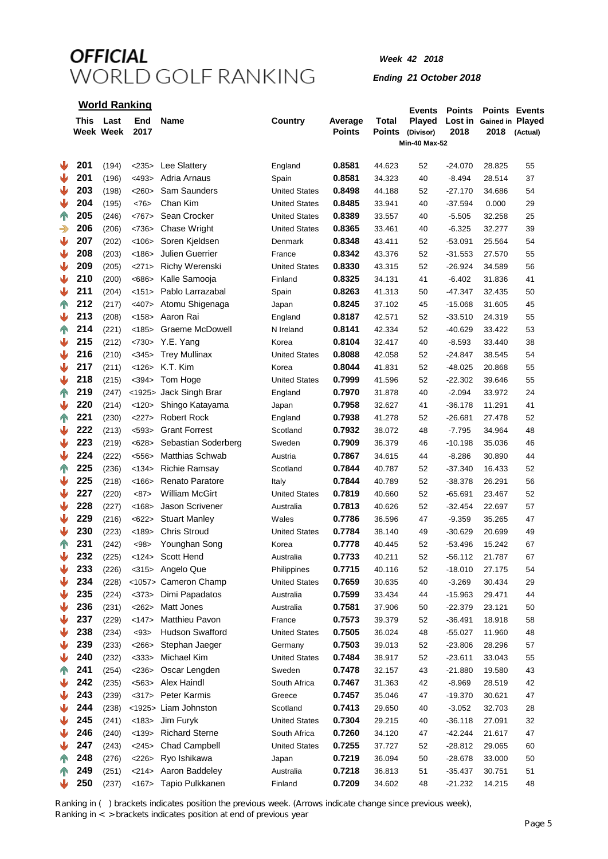### *Week 42 2018*

#### *Ending 21 October 2018*

|               | <b>World Ranking</b> |                        |             |                        |                      |                          |                 | <b>Events</b>                               | <b>Points</b>   |                          | <b>Points Events</b> |
|---------------|----------------------|------------------------|-------------|------------------------|----------------------|--------------------------|-----------------|---------------------------------------------|-----------------|--------------------------|----------------------|
|               |                      | This Last<br>Week Week | End<br>2017 | <b>Name</b>            | Country              | Average<br><b>Points</b> | Total<br>Points | Played<br>(Divisor)<br><b>Min-40 Max-52</b> | Lost in<br>2018 | Gained in Played<br>2018 | (Actual)             |
|               |                      |                        |             |                        |                      |                          |                 |                                             |                 |                          |                      |
| ₩             | 201                  | (194)                  | <235>       | Lee Slattery           | England              | 0.8581                   | 44.623          | 52                                          | $-24.070$       | 28.825                   | 55                   |
| ⇓             | 201                  | (196)                  | $<$ 493>    | Adria Arnaus           | Spain                | 0.8581                   | 34.323          | 40                                          | $-8.494$        | 28.514                   | 37                   |
| ₩             | 203                  | (198)                  | <260>       | Sam Saunders           | <b>United States</b> | 0.8498                   | 44.188          | 52                                          | $-27.170$       | 34.686                   | 54                   |
| ₩             | 204                  | (195)                  | <76         | Chan Kim               | <b>United States</b> | 0.8485                   | 33.941          | 40                                          | $-37.594$       | 0.000                    | 29                   |
| $\mathbb{T}$  | 205                  | (246)                  | <767>       | Sean Crocker           | <b>United States</b> | 0.8389                   | 33.557          | 40                                          | $-5.505$        | 32.258                   | 25                   |
| $\Rightarrow$ | 206                  | (206)                  | <736>       | <b>Chase Wright</b>    | <b>United States</b> | 0.8365                   | 33.461          | 40                                          | $-6.325$        | 32.277                   | 39                   |
| ₩             | 207                  | (202)                  | < 106       | Soren Kjeldsen         | Denmark              | 0.8348                   | 43.411          | 52                                          | -53.091         | 25.564                   | 54                   |
| ₩             | 208                  | (203)                  | < 186       | <b>Julien Guerrier</b> | France               | 0.8342                   | 43.376          | 52                                          | $-31.553$       | 27.570                   | 55                   |
| ₩             | 209                  | (205)                  | <271>       | <b>Richy Werenski</b>  | <b>United States</b> | 0.8330                   | 43.315          | 52                                          | $-26.924$       | 34.589                   | 56                   |
| ₩             | 210                  | (200)                  | <686        | Kalle Samooja          | Finland              | 0.8325                   | 34.131          | 41                                          | $-6.402$        | 31.836                   | 41                   |
| ⋓             | 211                  | (204)                  | <151>       | Pablo Larrazabal       | Spain                | 0.8263                   | 41.313          | 50                                          | -47.347         | 32.435                   | 50                   |
| $\mathbb{P}$  | 212                  | (217)                  | $<$ 407>    | Atomu Shigenaga        | Japan                | 0.8245                   | 37.102          | 45                                          | $-15.068$       | 31.605                   | 45                   |
| ⇓             | 213                  | (208)                  | <158>       | Aaron Rai              | England              | 0.8187                   | 42.571          | 52                                          | $-33.510$       | 24.319                   | 55                   |
| <b>TN</b>     | 214                  | (221)                  | < 185       | Graeme McDowell        | N Ireland            | 0.8141                   | 42.334          | 52                                          | $-40.629$       | 33.422                   | 53                   |
| ₩             | 215                  | (212)                  | <730>       | Y.E. Yang              | Korea                | 0.8104                   | 32.417          | 40                                          | $-8.593$        | 33.440                   | 38                   |
| ₩             | 216                  | (210)                  | $345$       | <b>Trey Mullinax</b>   | <b>United States</b> | 0.8088                   | 42.058          | 52                                          | $-24.847$       | 38.545                   | 54                   |
| ⋓             | 217                  | (211)                  | <126>       | K.T. Kim               | Korea                | 0.8044                   | 41.831          | 52                                          | $-48.025$       | 20.868                   | 55                   |
| ⇓             | 218                  | (215)                  | $394>$      | Tom Hoge               | <b>United States</b> | 0.7999                   | 41.596          | 52                                          | $-22.302$       | 39.646                   | 55                   |
| $\mathbb{T}$  | 219                  | (247)                  |             | <1925> Jack Singh Brar | England              | 0.7970                   | 31.878          | 40                                          | $-2.094$        | 33.972                   | 24                   |
| ⋓             | 220                  | (214)                  | <120>       | Shingo Katayama        | Japan                | 0.7958                   | 32.627          | 41                                          | $-36.178$       | 11.291                   | 41                   |
| $\mathbb{T}$  | 221                  | (230)                  | <227>       | <b>Robert Rock</b>     | England              | 0.7938                   | 41.278          | 52                                          | $-26.681$       | 27.478                   | 52                   |
| ⇓             | 222                  | (213)                  | $593$       | <b>Grant Forrest</b>   | Scotland             | 0.7932                   | 38.072          | 48                                          | $-7.795$        | 34.964                   | 48                   |
| ₩             | 223                  | (219)                  | <628>       | Sebastian Soderberg    | Sweden               | 0.7909                   | 36.379          | 46                                          | $-10.198$       | 35.036                   | 46                   |
| ₩             | 224                  | (222)                  | < 556       | Matthias Schwab        | Austria              | 0.7867                   | 34.615          | 44                                          | $-8.286$        | 30.890                   | 44                   |
| $\mathbb{T}$  | 225                  | (236)                  | < 134       | <b>Richie Ramsay</b>   | Scotland             | 0.7844                   | 40.787          | 52                                          | $-37.340$       | 16.433                   | 52                   |
| ₩             | 225                  | (218)                  | < 166       | <b>Renato Paratore</b> | Italy                | 0.7844                   | 40.789          | 52                                          | $-38.378$       | 26.291                   | 56                   |
| ₩             | 227                  | (220)                  | <87>        | <b>William McGirt</b>  | <b>United States</b> | 0.7819                   | 40.660          | 52                                          | -65.691         | 23.467                   | 52                   |
| ₩             | 228                  | (227)                  | < 168       | Jason Scrivener        | Australia            | 0.7813                   | 40.626          | 52                                          | $-32.454$       | 22.697                   | 57                   |
| ₩             | 229                  | (216)                  | <622>       | <b>Stuart Manley</b>   | Wales                | 0.7786                   | 36.596          | 47                                          | $-9.359$        | 35.265                   | 47                   |
| ₩             | 230                  | (223)                  | < 189       | <b>Chris Stroud</b>    | <b>United States</b> | 0.7784                   | 38.140          | 49                                          | $-30.629$       | 20.699                   | 49                   |
| <b>TN</b>     | 231                  | (242)                  | <98>        | Younghan Song          | Korea                | 0.7778                   | 40.445          | 52                                          | $-53.496$       | 15.242                   | 67                   |
|               | 232                  | (225)                  |             | <124> Scott Hend       | Australia            | 0.7733                   | 40.211          | 52                                          | -56.112         | 21.787                   | 67                   |
| ⋓             | 233                  | (226)                  |             | <315> Angelo Que       | Philippines          | 0.7715                   | 40.116          | 52                                          | $-18.010$       | 27.175                   | 54                   |
| ⇓             | 234                  | (228)                  |             | <1057> Cameron Champ   | <b>United States</b> | 0.7659                   | 30.635          | 40                                          | $-3.269$        | 30.434                   | 29                   |
| ⋓             | 235                  | (224)                  | $373$       | Dimi Papadatos         | Australia            | 0.7599                   | 33.434          | 44                                          | $-15.963$       | 29.471                   | 44                   |
| ⋓             | 236                  | (231)                  | <262>       | Matt Jones             | Australia            | 0.7581                   | 37.906          | 50                                          | -22.379         | 23.121                   | 50                   |
| ⋓             | 237                  | (229)                  | <147>       | <b>Matthieu Pavon</b>  | France               | 0.7573                   | 39.379          | 52                                          | $-36.491$       | 18.918                   | 58                   |
| ⇓             | 238                  | (234)                  | < 93        | <b>Hudson Swafford</b> | <b>United States</b> | 0.7505                   | 36.024          | 48                                          | $-55.027$       | 11.960                   | 48                   |
| ₩             | 239                  | (233)                  | <266        | Stephan Jaeger         | Germany              | 0.7503                   | 39.013          | 52                                          | $-23.806$       | 28.296                   | 57                   |
| ₩             | 240                  | (232)                  | $<$ 333>    | Michael Kim            | <b>United States</b> | 0.7484                   | 38.917          | 52                                          | $-23.611$       | 33.043                   | 55                   |
| $\mathbb{T}$  | 241                  | (254)                  | $<$ 236>    | Oscar Lengden          | Sweden               | 0.7478                   | 32.157          | 43                                          | -21.880         | 19.580                   | 43                   |
| ₩             | 242                  | (235)                  |             | <563> Alex Haindl      | South Africa         | 0.7467                   | 31.363          | 42                                          | $-8.969$        | 28.519                   | 42                   |
| ₩             | 243                  | (239)                  |             | <317> Peter Karmis     | Greece               | 0.7457                   | 35.046          | 47                                          | -19.370         | 30.621                   | 47                   |
| ₩             | 244                  | (238)                  |             | <1925> Liam Johnston   | Scotland             | 0.7413                   | 29.650          | 40                                          | $-3.052$        | 32.703                   | 28                   |
| ₩             | 245                  | (241)                  |             | <183> Jim Furyk        | <b>United States</b> | 0.7304                   | 29.215          | 40                                          | $-36.118$       | 27.091                   | 32                   |
| ₩             | 246                  | (240)                  | <139>       | <b>Richard Sterne</b>  | South Africa         | 0.7260                   | 34.120          | 47                                          | $-42.244$       | 21.617                   | 47                   |
| ₩             | 247                  | (243)                  | <245>       | <b>Chad Campbell</b>   | <b>United States</b> | 0.7255                   | 37.727          | 52                                          | $-28.812$       | 29.065                   | 60                   |
| IN.           | 248                  | (276)                  | <226>       | Ryo Ishikawa           | Japan                | 0.7219                   | 36.094          | 50                                          | $-28.678$       | 33.000                   | 50                   |
| T             | 249                  | (251)                  | <214>       | Aaron Baddeley         | Australia            | 0.7218                   | 36.813          | 51                                          | $-35.437$       | 30.751                   | 51                   |
|               | 250                  | (237)                  | <167>       | Tapio Pulkkanen        | Finland              | 0.7209                   | 34.602          | 48                                          | $-21.232$       | 14.215                   | 48                   |